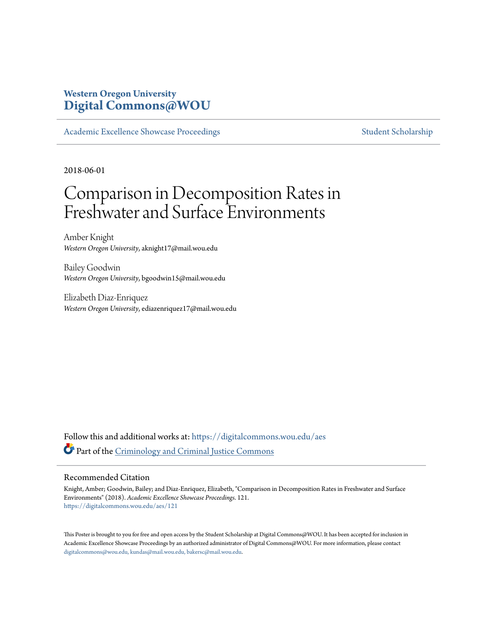#### **Western Oregon University [Digital Commons@WOU](https://digitalcommons.wou.edu?utm_source=digitalcommons.wou.edu%2Faes%2F121&utm_medium=PDF&utm_campaign=PDFCoverPages)**

[Academic Excellence Showcase Proceedings](https://digitalcommons.wou.edu/aes?utm_source=digitalcommons.wou.edu%2Faes%2F121&utm_medium=PDF&utm_campaign=PDFCoverPages) [Student Scholarship](https://digitalcommons.wou.edu/student_scholarship?utm_source=digitalcommons.wou.edu%2Faes%2F121&utm_medium=PDF&utm_campaign=PDFCoverPages)

2018-06-01

#### Comparison in Decomposition Rates in Freshwater and Surface Environments

Amber Knight *Western Oregon University*, aknight17@mail.wou.edu

Bailey Goodwin *Western Oregon University*, bgoodwin15@mail.wou.edu

Elizabeth Diaz-Enriquez *Western Oregon University*, ediazenriquez17@mail.wou.edu

Follow this and additional works at: [https://digitalcommons.wou.edu/aes](https://digitalcommons.wou.edu/aes?utm_source=digitalcommons.wou.edu%2Faes%2F121&utm_medium=PDF&utm_campaign=PDFCoverPages) Part of the [Criminology and Criminal Justice Commons](http://network.bepress.com/hgg/discipline/367?utm_source=digitalcommons.wou.edu%2Faes%2F121&utm_medium=PDF&utm_campaign=PDFCoverPages)

#### Recommended Citation

Knight, Amber; Goodwin, Bailey; and Diaz-Enriquez, Elizabeth, "Comparison in Decomposition Rates in Freshwater and Surface Environments" (2018). *Academic Excellence Showcase Proceedings*. 121. [https://digitalcommons.wou.edu/aes/121](https://digitalcommons.wou.edu/aes/121?utm_source=digitalcommons.wou.edu%2Faes%2F121&utm_medium=PDF&utm_campaign=PDFCoverPages)

This Poster is brought to you for free and open access by the Student Scholarship at Digital Commons@WOU. It has been accepted for inclusion in Academic Excellence Showcase Proceedings by an authorized administrator of Digital Commons@WOU. For more information, please contact [digitalcommons@wou.edu, kundas@mail.wou.edu, bakersc@mail.wou.edu](mailto:digitalcommons@wou.edu,%20kundas@mail.wou.edu,%20bakersc@mail.wou.edu).